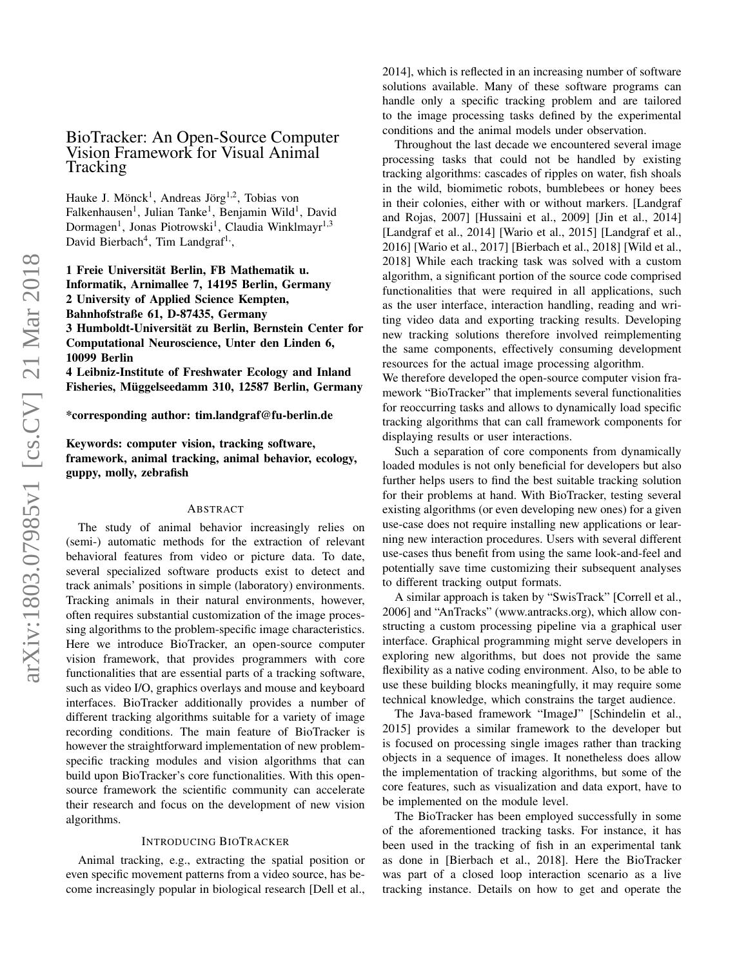# BioTracker: An Open-Source Computer Vision Framework for Visual Animal Tracking

Hauke J. Mönck<sup>1</sup>, Andreas Jörg<sup>1,2</sup>, Tobias von Falkenhausen<sup>1</sup>, Julian Tanke<sup>1</sup>, Benjamin Wild<sup>1</sup>, David Dormagen<sup>1</sup>, Jonas Piotrowski<sup>1</sup>, Claudia Winklmayr<sup>1,3</sup> David Bierbach<sup>4</sup>, Tim Landgraf<sup>1,</sup>,

1 Freie Universität Berlin, FB Mathematik u. Informatik, Arnimallee 7, 14195 Berlin, Germany 2 University of Applied Science Kempten, Bahnhofstraße 61, D-87435, Germany 3 Humboldt-Universität zu Berlin, Bernstein Center for Computational Neuroscience, Unter den Linden 6, 10099 Berlin

4 Leibniz-Institute of Freshwater Ecology and Inland Fisheries, Müggelseedamm 310, 12587 Berlin, Germany

\*corresponding author: tim.landgraf@fu-berlin.de

Keywords: computer vision, tracking software, framework, animal tracking, animal behavior, ecology, guppy, molly, zebrafish

### ABSTRACT

The study of animal behavior increasingly relies on (semi-) automatic methods for the extraction of relevant behavioral features from video or picture data. To date, several specialized software products exist to detect and track animals' positions in simple (laboratory) environments. Tracking animals in their natural environments, however, often requires substantial customization of the image processing algorithms to the problem-specific image characteristics. Here we introduce BioTracker, an open-source computer vision framework, that provides programmers with core functionalities that are essential parts of a tracking software, such as video I/O, graphics overlays and mouse and keyboard interfaces. BioTracker additionally provides a number of different tracking algorithms suitable for a variety of image recording conditions. The main feature of BioTracker is however the straightforward implementation of new problemspecific tracking modules and vision algorithms that can build upon BioTracker's core functionalities. With this opensource framework the scientific community can accelerate their research and focus on the development of new vision algorithms.

### INTRODUCING BIOTRACKER

Animal tracking, e.g., extracting the spatial position or even specific movement patterns from a video source, has become increasingly popular in biological research [Dell et al.,

2014], which is reflected in an increasing number of software solutions available. Many of these software programs can handle only a specific tracking problem and are tailored to the image processing tasks defined by the experimental conditions and the animal models under observation.

Throughout the last decade we encountered several image processing tasks that could not be handled by existing tracking algorithms: cascades of ripples on water, fish shoals in the wild, biomimetic robots, bumblebees or honey bees in their colonies, either with or without markers. [Landgraf and Rojas, 2007] [Hussaini et al., 2009] [Jin et al., 2014] [Landgraf et al., 2014] [Wario et al., 2015] [Landgraf et al., 2016] [Wario et al., 2017] [Bierbach et al., 2018] [Wild et al., 2018] While each tracking task was solved with a custom algorithm, a significant portion of the source code comprised functionalities that were required in all applications, such as the user interface, interaction handling, reading and writing video data and exporting tracking results. Developing new tracking solutions therefore involved reimplementing the same components, effectively consuming development resources for the actual image processing algorithm.

We therefore developed the open-source computer vision framework "BioTracker" that implements several functionalities for reoccurring tasks and allows to dynamically load specific tracking algorithms that can call framework components for displaying results or user interactions.

Such a separation of core components from dynamically loaded modules is not only beneficial for developers but also further helps users to find the best suitable tracking solution for their problems at hand. With BioTracker, testing several existing algorithms (or even developing new ones) for a given use-case does not require installing new applications or learning new interaction procedures. Users with several different use-cases thus benefit from using the same look-and-feel and potentially save time customizing their subsequent analyses to different tracking output formats.

A similar approach is taken by "SwisTrack" [Correll et al., 2006] and "AnTracks" (www.antracks.org), which allow constructing a custom processing pipeline via a graphical user interface. Graphical programming might serve developers in exploring new algorithms, but does not provide the same flexibility as a native coding environment. Also, to be able to use these building blocks meaningfully, it may require some technical knowledge, which constrains the target audience.

The Java-based framework "ImageJ" [Schindelin et al., 2015] provides a similar framework to the developer but is focused on processing single images rather than tracking objects in a sequence of images. It nonetheless does allow the implementation of tracking algorithms, but some of the core features, such as visualization and data export, have to be implemented on the module level.

The BioTracker has been employed successfully in some of the aforementioned tracking tasks. For instance, it has been used in the tracking of fish in an experimental tank as done in [Bierbach et al., 2018]. Here the BioTracker was part of a closed loop interaction scenario as a live tracking instance. Details on how to get and operate the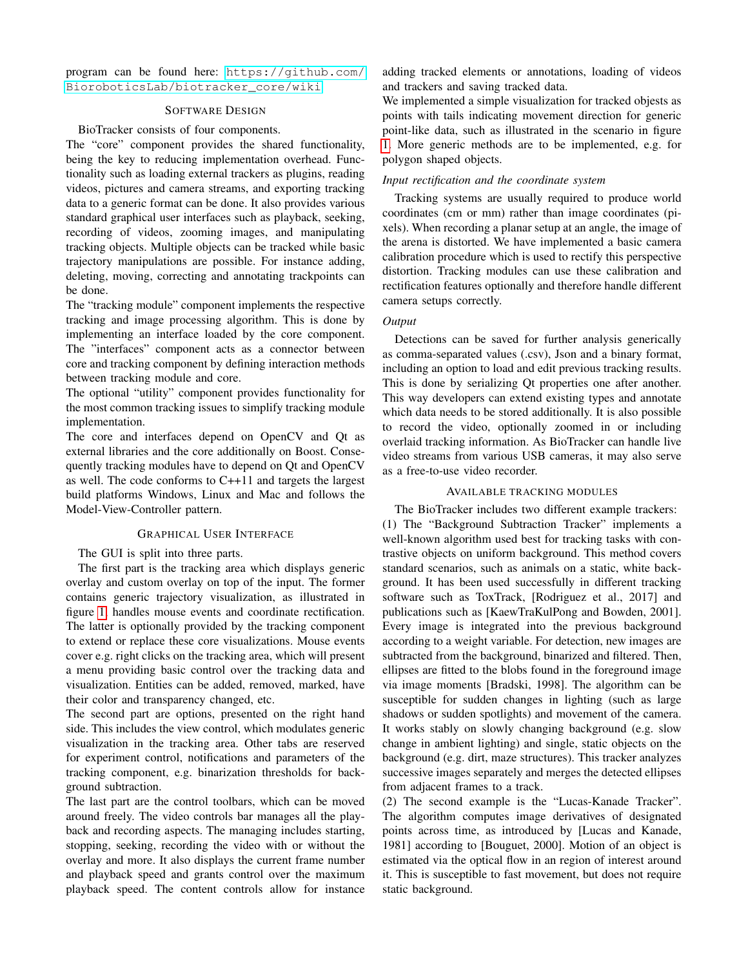program can be found here: [https://github.com/](https://github.com/BioroboticsLab/biotracker_core/wiki) [BioroboticsLab/biotracker\\_core/wiki](https://github.com/BioroboticsLab/biotracker_core/wiki)

### SOFTWARE DESIGN

### BioTracker consists of four components.

The "core" component provides the shared functionality, being the key to reducing implementation overhead. Functionality such as loading external trackers as plugins, reading videos, pictures and camera streams, and exporting tracking data to a generic format can be done. It also provides various standard graphical user interfaces such as playback, seeking, recording of videos, zooming images, and manipulating tracking objects. Multiple objects can be tracked while basic trajectory manipulations are possible. For instance adding, deleting, moving, correcting and annotating trackpoints can be done.

The "tracking module" component implements the respective tracking and image processing algorithm. This is done by implementing an interface loaded by the core component. The "interfaces" component acts as a connector between core and tracking component by defining interaction methods between tracking module and core.

The optional "utility" component provides functionality for the most common tracking issues to simplify tracking module implementation.

The core and interfaces depend on OpenCV and Qt as external libraries and the core additionally on Boost. Consequently tracking modules have to depend on Qt and OpenCV as well. The code conforms to C++11 and targets the largest build platforms Windows, Linux and Mac and follows the Model-View-Controller pattern.

### GRAPHICAL USER INTERFACE

### The GUI is split into three parts.

The first part is the tracking area which displays generic overlay and custom overlay on top of the input. The former contains generic trajectory visualization, as illustrated in figure [1,](#page-2-0) handles mouse events and coordinate rectification. The latter is optionally provided by the tracking component to extend or replace these core visualizations. Mouse events cover e.g. right clicks on the tracking area, which will present a menu providing basic control over the tracking data and visualization. Entities can be added, removed, marked, have their color and transparency changed, etc.

The second part are options, presented on the right hand side. This includes the view control, which modulates generic visualization in the tracking area. Other tabs are reserved for experiment control, notifications and parameters of the tracking component, e.g. binarization thresholds for background subtraction.

The last part are the control toolbars, which can be moved around freely. The video controls bar manages all the playback and recording aspects. The managing includes starting, stopping, seeking, recording the video with or without the overlay and more. It also displays the current frame number and playback speed and grants control over the maximum playback speed. The content controls allow for instance adding tracked elements or annotations, loading of videos and trackers and saving tracked data.

We implemented a simple visualization for tracked objests as points with tails indicating movement direction for generic point-like data, such as illustrated in the scenario in figure [1.](#page-2-0) More generic methods are to be implemented, e.g. for polygon shaped objects.

### *Input rectification and the coordinate system*

Tracking systems are usually required to produce world coordinates (cm or mm) rather than image coordinates (pixels). When recording a planar setup at an angle, the image of the arena is distorted. We have implemented a basic camera calibration procedure which is used to rectify this perspective distortion. Tracking modules can use these calibration and rectification features optionally and therefore handle different camera setups correctly.

## *Output*

Detections can be saved for further analysis generically as comma-separated values (.csv), Json and a binary format, including an option to load and edit previous tracking results. This is done by serializing Qt properties one after another. This way developers can extend existing types and annotate which data needs to be stored additionally. It is also possible to record the video, optionally zoomed in or including overlaid tracking information. As BioTracker can handle live video streams from various USB cameras, it may also serve as a free-to-use video recorder.

### AVAILABLE TRACKING MODULES

The BioTracker includes two different example trackers: (1) The "Background Subtraction Tracker" implements a well-known algorithm used best for tracking tasks with contrastive objects on uniform background. This method covers standard scenarios, such as animals on a static, white background. It has been used successfully in different tracking software such as ToxTrack, [Rodriguez et al., 2017] and publications such as [KaewTraKulPong and Bowden, 2001]. Every image is integrated into the previous background according to a weight variable. For detection, new images are subtracted from the background, binarized and filtered. Then, ellipses are fitted to the blobs found in the foreground image via image moments [Bradski, 1998]. The algorithm can be susceptible for sudden changes in lighting (such as large shadows or sudden spotlights) and movement of the camera. It works stably on slowly changing background (e.g. slow change in ambient lighting) and single, static objects on the background (e.g. dirt, maze structures). This tracker analyzes successive images separately and merges the detected ellipses from adjacent frames to a track.

(2) The second example is the "Lucas-Kanade Tracker". The algorithm computes image derivatives of designated points across time, as introduced by [Lucas and Kanade, 1981] according to [Bouguet, 2000]. Motion of an object is estimated via the optical flow in an region of interest around it. This is susceptible to fast movement, but does not require static background.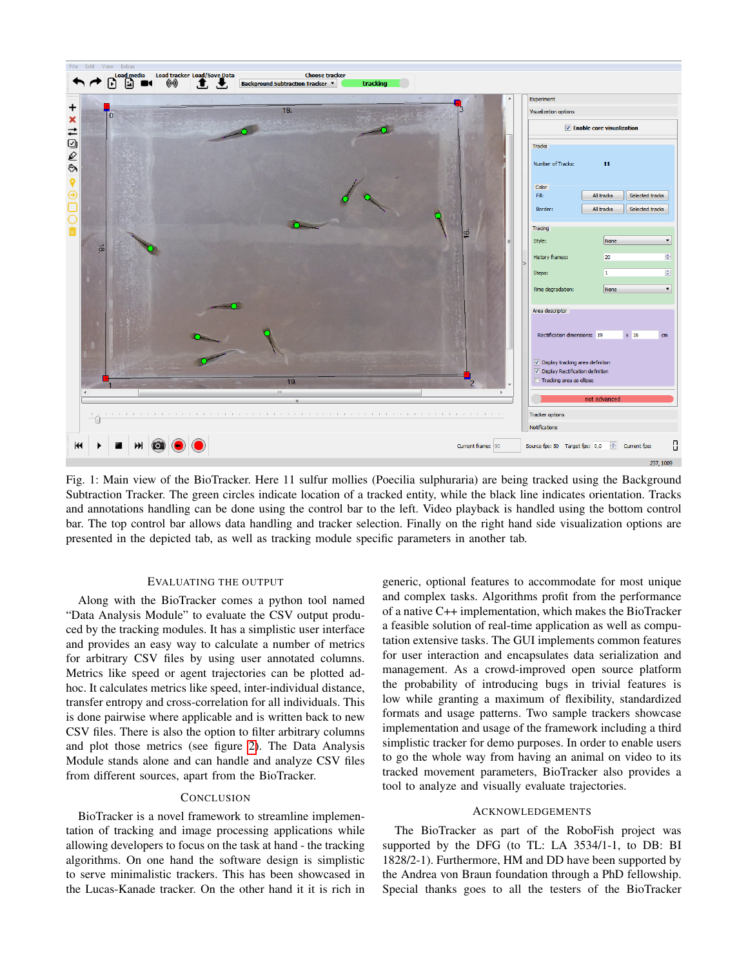<span id="page-2-0"></span>

Fig. 1: Main view of the BioTracker. Here 11 sulfur mollies (Poecilia sulphuraria) are being tracked using the Background Subtraction Tracker. The green circles indicate location of a tracked entity, while the black line indicates orientation. Tracks and annotations handling can be done using the control bar to the left. Video playback is handled using the bottom control bar. The top control bar allows data handling and tracker selection. Finally on the right hand side visualization options are presented in the depicted tab, as well as tracking module specific parameters in another tab.

### EVALUATING THE OUTPUT

Along with the BioTracker comes a python tool named "Data Analysis Module" to evaluate the CSV output produced by the tracking modules. It has a simplistic user interface and provides an easy way to calculate a number of metrics for arbitrary CSV files by using user annotated columns. Metrics like speed or agent trajectories can be plotted adhoc. It calculates metrics like speed, inter-individual distance, transfer entropy and cross-correlation for all individuals. This is done pairwise where applicable and is written back to new CSV files. There is also the option to filter arbitrary columns and plot those metrics (see figure [2\)](#page-3-0). The Data Analysis Module stands alone and can handle and analyze CSV files from different sources, apart from the BioTracker.

### **CONCLUSION**

BioTracker is a novel framework to streamline implementation of tracking and image processing applications while allowing developers to focus on the task at hand - the tracking algorithms. On one hand the software design is simplistic to serve minimalistic trackers. This has been showcased in the Lucas-Kanade tracker. On the other hand it it is rich in generic, optional features to accommodate for most unique and complex tasks. Algorithms profit from the performance of a native C++ implementation, which makes the BioTracker a feasible solution of real-time application as well as computation extensive tasks. The GUI implements common features for user interaction and encapsulates data serialization and management. As a crowd-improved open source platform the probability of introducing bugs in trivial features is low while granting a maximum of flexibility, standardized formats and usage patterns. Two sample trackers showcase implementation and usage of the framework including a third simplistic tracker for demo purposes. In order to enable users to go the whole way from having an animal on video to its tracked movement parameters, BioTracker also provides a tool to analyze and visually evaluate trajectories.

### ACKNOWLEDGEMENTS

The BioTracker as part of the RoboFish project was supported by the DFG (to TL: LA 3534/1-1, to DB: BI 1828/2-1). Furthermore, HM and DD have been supported by the Andrea von Braun foundation through a PhD fellowship. Special thanks goes to all the testers of the BioTracker